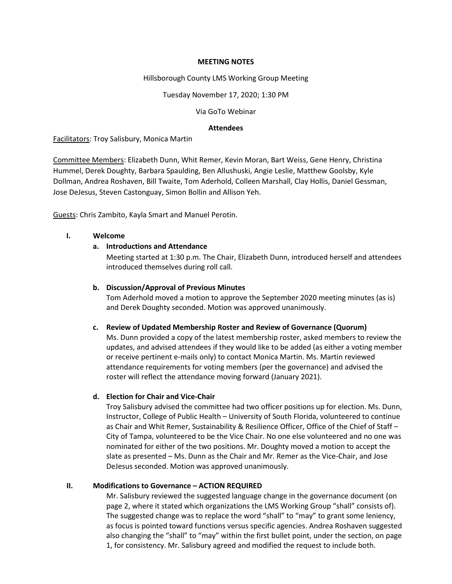### **MEETING NOTES**

### Hillsborough County LMS Working Group Meeting

Tuesday November 17, 2020; 1:30 PM

Via GoTo Webinar

### **Attendees**

Facilitators: Troy Salisbury, Monica Martin

Committee Members: Elizabeth Dunn, Whit Remer, Kevin Moran, Bart Weiss, Gene Henry, Christina Hummel, Derek Doughty, Barbara Spaulding, Ben Allushuski, Angie Leslie, Matthew Goolsby, Kyle Dollman, Andrea Roshaven, Bill Twaite, Tom Aderhold, Colleen Marshall, Clay Hollis, Daniel Gessman, Jose DeJesus, Steven Castonguay, Simon Bollin and Allison Yeh.

Guests: Chris Zambito, Kayla Smart and Manuel Perotin.

### **I. Welcome**

# **a. Introductions and Attendance**

Meeting started at 1:30 p.m. The Chair, Elizabeth Dunn, introduced herself and attendees introduced themselves during roll call.

## **b. Discussion/Approval of Previous Minutes**

Tom Aderhold moved a motion to approve the September 2020 meeting minutes (as is) and Derek Doughty seconded. Motion was approved unanimously.

# **c. Review of Updated Membership Roster and Review of Governance (Quorum)**

Ms. Dunn provided a copy of the latest membership roster, asked members to review the updates, and advised attendees if they would like to be added (as either a voting member or receive pertinent e-mails only) to contact Monica Martin. Ms. Martin reviewed attendance requirements for voting members (per the governance) and advised the roster will reflect the attendance moving forward (January 2021).

# **d. Election for Chair and Vice-Chair**

Troy Salisbury advised the committee had two officer positions up for election. Ms. Dunn, Instructor, College of Public Health – University of South Florida, volunteered to continue as Chair and Whit Remer, Sustainability & Resilience Officer, Office of the Chief of Staff – City of Tampa, volunteered to be the Vice Chair. No one else volunteered and no one was nominated for either of the two positions. Mr. Doughty moved a motion to accept the slate as presented – Ms. Dunn as the Chair and Mr. Remer as the Vice-Chair, and Jose DeJesus seconded. Motion was approved unanimously.

# **II. Modifications to Governance – ACTION REQUIRED**

Mr. Salisbury reviewed the suggested language change in the governance document (on page 2, where it stated which organizations the LMS Working Group "shall" consists of). The suggested change was to replace the word "shall" to "may" to grant some leniency, as focus is pointed toward functions versus specific agencies. Andrea Roshaven suggested also changing the "shall" to "may" within the first bullet point, under the section, on page 1, for consistency. Mr. Salisbury agreed and modified the request to include both.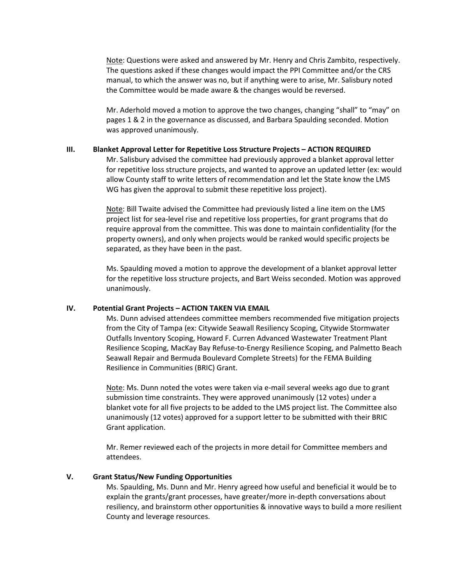Note: Questions were asked and answered by Mr. Henry and Chris Zambito, respectively. The questions asked if these changes would impact the PPI Committee and/or the CRS manual, to which the answer was no, but if anything were to arise, Mr. Salisbury noted the Committee would be made aware & the changes would be reversed.

Mr. Aderhold moved a motion to approve the two changes, changing "shall" to "may" on pages 1 & 2 in the governance as discussed, and Barbara Spaulding seconded. Motion was approved unanimously.

### **III. Blanket Approval Letter for Repetitive Loss Structure Projects – ACTION REQUIRED**

Mr. Salisbury advised the committee had previously approved a blanket approval letter for repetitive loss structure projects, and wanted to approve an updated letter (ex: would allow County staff to write letters of recommendation and let the State know the LMS WG has given the approval to submit these repetitive loss project).

Note: Bill Twaite advised the Committee had previously listed a line item on the LMS project list for sea-level rise and repetitive loss properties, for grant programs that do require approval from the committee. This was done to maintain confidentiality (for the property owners), and only when projects would be ranked would specific projects be separated, as they have been in the past.

Ms. Spaulding moved a motion to approve the development of a blanket approval letter for the repetitive loss structure projects, and Bart Weiss seconded. Motion was approved unanimously.

# **IV. Potential Grant Projects – ACTION TAKEN VIA EMAIL**

Ms. Dunn advised attendees committee members recommended five mitigation projects from the City of Tampa (ex: Citywide Seawall Resiliency Scoping, Citywide Stormwater Outfalls Inventory Scoping, Howard F. Curren Advanced Wastewater Treatment Plant Resilience Scoping, MacKay Bay Refuse-to-Energy Resilience Scoping, and Palmetto Beach Seawall Repair and Bermuda Boulevard Complete Streets) for the FEMA Building Resilience in Communities (BRIC) Grant.

Note: Ms. Dunn noted the votes were taken via e-mail several weeks ago due to grant submission time constraints. They were approved unanimously (12 votes) under a blanket vote for all five projects to be added to the LMS project list. The Committee also unanimously (12 votes) approved for a support letter to be submitted with their BRIC Grant application.

Mr. Remer reviewed each of the projects in more detail for Committee members and attendees.

# **V. Grant Status/New Funding Opportunities**

Ms. Spaulding, Ms. Dunn and Mr. Henry agreed how useful and beneficial it would be to explain the grants/grant processes, have greater/more in-depth conversations about resiliency, and brainstorm other opportunities & innovative ways to build a more resilient County and leverage resources.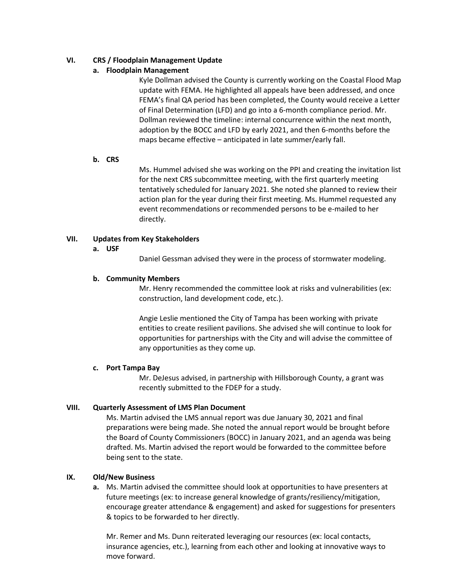# **VI. CRS / Floodplain Management Update**

# **a. Floodplain Management**

Kyle Dollman advised the County is currently working on the Coastal Flood Map update with FEMA. He highlighted all appeals have been addressed, and once FEMA's final QA period has been completed, the County would receive a Letter of Final Determination (LFD) and go into a 6-month compliance period. Mr. Dollman reviewed the timeline: internal concurrence within the next month, adoption by the BOCC and LFD by early 2021, and then 6-months before the maps became effective – anticipated in late summer/early fall.

# **b. CRS**

Ms. Hummel advised she was working on the PPI and creating the invitation list for the next CRS subcommittee meeting, with the first quarterly meeting tentatively scheduled for January 2021. She noted she planned to review their action plan for the year during their first meeting. Ms. Hummel requested any event recommendations or recommended persons to be e-mailed to her directly.

# **VII. Updates from Key Stakeholders**

### **a. USF**

Daniel Gessman advised they were in the process of stormwater modeling.

### **b. Community Members**

Mr. Henry recommended the committee look at risks and vulnerabilities (ex: construction, land development code, etc.).

Angie Leslie mentioned the City of Tampa has been working with private entities to create resilient pavilions. She advised she will continue to look for opportunities for partnerships with the City and will advise the committee of any opportunities as they come up.

# **c. Port Tampa Bay**

Mr. DeJesus advised, in partnership with Hillsborough County, a grant was recently submitted to the FDEP for a study.

# **VIII. Quarterly Assessment of LMS Plan Document**

Ms. Martin advised the LMS annual report was due January 30, 2021 and final preparations were being made. She noted the annual report would be brought before the Board of County Commissioners (BOCC) in January 2021, and an agenda was being drafted. Ms. Martin advised the report would be forwarded to the committee before being sent to the state.

# **IX. Old/New Business**

**a.** Ms. Martin advised the committee should look at opportunities to have presenters at future meetings (ex: to increase general knowledge of grants/resiliency/mitigation, encourage greater attendance & engagement) and asked for suggestions for presenters & topics to be forwarded to her directly.

Mr. Remer and Ms. Dunn reiterated leveraging our resources (ex: local contacts, insurance agencies, etc.), learning from each other and looking at innovative ways to move forward.